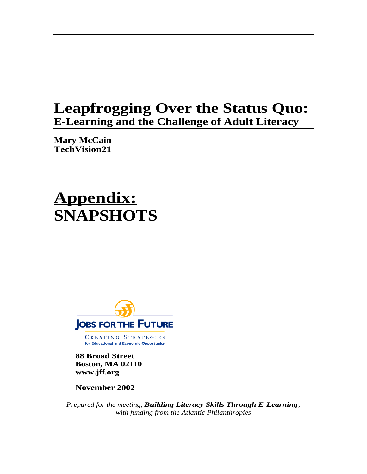## **Leapfrogging Over the Status Quo: E-Learning and the Challenge of Adult Literacy**

**Mary McCain TechVision21**

# **Appendix: SNAPSHOTS**



CREATING STRATEGIES for Educational and Economic Opportunity

**88 Broad Street Boston, MA 02110 www.jff.org**

**November 2002**

*Prepared for the meeting, Building Literacy Skills Through E-Learning, with funding from the Atlantic Philanthropies*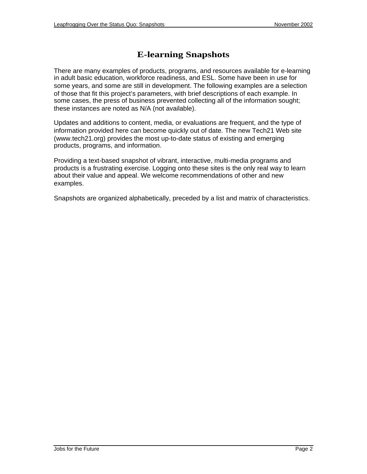### **E-learning Snapshots**

There are many examples of products, programs, and resources available for e-learning in adult basic education, workforce readiness, and ESL. Some have been in use for some years, and some are still in development. The following examples are a selection of those that fit this project's parameters, with brief descriptions of each example. In some cases, the press of business prevented collecting all of the information sought; these instances are noted as N/A (not available).

Updates and additions to content, media, or evaluations are frequent, and the type of information provided here can become quickly out of date. The new Tech21 Web site (www.tech21.org) provides the most up-to-date status of existing and emerging products, programs, and information.

Providing a text-based snapshot of vibrant, interactive, multi-media programs and products is a frustrating exercise. Logging onto these sites is the only real way to learn about their value and appeal. We welcome recommendations of other and new examples.

Snapshots are organized alphabetically, preceded by a list and matrix of characteristics.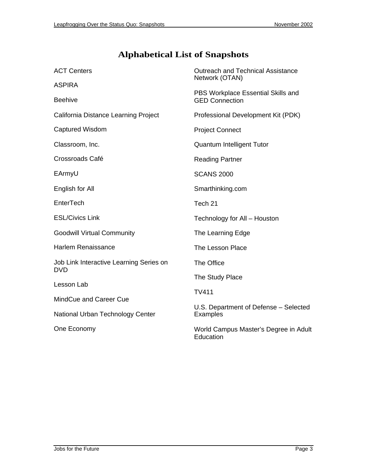### **Alphabetical List of Snapshots**

| <b>ACT Centers</b>                                    | <b>Outreach and Technical Assistance</b><br>Network (OTAN)  |  |  |  |  |
|-------------------------------------------------------|-------------------------------------------------------------|--|--|--|--|
| <b>ASPIRA</b>                                         |                                                             |  |  |  |  |
| <b>Beehive</b>                                        | PBS Workplace Essential Skills and<br><b>GED Connection</b> |  |  |  |  |
| California Distance Learning Project                  | Professional Development Kit (PDK)                          |  |  |  |  |
| Captured Wisdom                                       | <b>Project Connect</b>                                      |  |  |  |  |
| Classroom, Inc.                                       | Quantum Intelligent Tutor                                   |  |  |  |  |
| Crossroads Café                                       | <b>Reading Partner</b>                                      |  |  |  |  |
| EArmyU                                                | <b>SCANS 2000</b>                                           |  |  |  |  |
| English for All                                       | Smarthinking.com                                            |  |  |  |  |
| EnterTech                                             | Tech 21                                                     |  |  |  |  |
| <b>ESL/Civics Link</b>                                | Technology for All - Houston                                |  |  |  |  |
| <b>Goodwill Virtual Community</b>                     | The Learning Edge                                           |  |  |  |  |
| <b>Harlem Renaissance</b>                             | The Lesson Place                                            |  |  |  |  |
| Job Link Interactive Learning Series on<br><b>DVD</b> | The Office                                                  |  |  |  |  |
| Lesson Lab                                            | The Study Place<br><b>TV411</b>                             |  |  |  |  |
|                                                       |                                                             |  |  |  |  |
| MindCue and Career Cue                                | U.S. Department of Defense - Selected<br><b>Examples</b>    |  |  |  |  |
| National Urban Technology Center                      |                                                             |  |  |  |  |
| One Economy                                           | World Campus Master's Degree in Adult<br>Education          |  |  |  |  |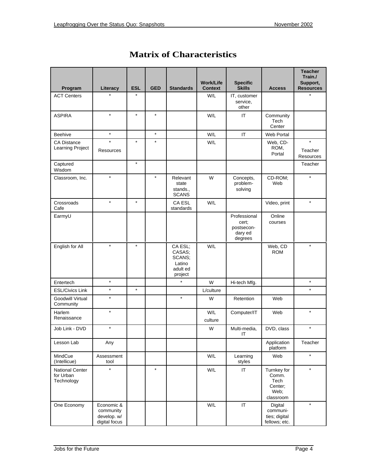| Program                                    | Literacy                                                | <b>ESL</b> | <b>GED</b> | <b>Standards</b>                                             | <b>Work/Life</b><br><b>Context</b> | <b>Specific</b><br><b>Skills</b>                          | <b>Access</b>                                                | <b>Teacher</b><br>Train./<br>Support,<br><b>Resources</b> |
|--------------------------------------------|---------------------------------------------------------|------------|------------|--------------------------------------------------------------|------------------------------------|-----------------------------------------------------------|--------------------------------------------------------------|-----------------------------------------------------------|
| <b>ACT Centers</b>                         | $\star$                                                 | $\star$    |            |                                                              | W/L                                | IT, customer<br>service,<br>other                         |                                                              | $\star$                                                   |
| <b>ASPIRA</b>                              | $\star$                                                 | $\star$    | $\star$    |                                                              | W/L                                | IT                                                        | Community<br>Tech<br>Center                                  |                                                           |
| Beehive                                    | $\star$                                                 |            | $\star$    |                                                              | W/L                                | IT                                                        | Web Portal                                                   |                                                           |
| <b>CA Distance</b><br>Learning Project     | $\star$<br>Resources                                    | $\star$    | $\star$    |                                                              | W/L                                |                                                           | Web, CD-<br>ROM,<br>Portal                                   | $\star$<br>Teacher<br><b>Resources</b>                    |
| Captured<br>Wisdom                         |                                                         | $\star$    |            |                                                              |                                    |                                                           |                                                              | Teacher                                                   |
| Classroom, Inc.                            | $\star$                                                 |            | $\star$    | Relevant<br>state<br>stands.,<br><b>SCANS</b>                | W                                  | Concepts,<br>problem-<br>solving                          | CD-ROM;<br>Web                                               | $\star$                                                   |
| Crossroads<br>Cafe                         | $\star$                                                 | $\star$    |            | <b>CA ESL</b><br>standards                                   | W/L                                |                                                           | Video, print                                                 | $\star$                                                   |
| EarmyU                                     |                                                         |            |            |                                                              |                                    | Professional<br>cert:<br>postsecon-<br>dary ed<br>degrees | Online<br>courses                                            |                                                           |
| English for All                            | $\star$                                                 | $\star$    |            | CA ESL:<br>CASAS;<br>SCANS;<br>Latino<br>adult ed<br>project | W/L                                |                                                           | Web, CD<br><b>ROM</b>                                        | $\star$                                                   |
| Entertech                                  | $\star$                                                 |            |            | $\star$                                                      | W                                  | Hi-tech Mfg.                                              |                                                              | $\star$                                                   |
| <b>ESL/Civics Link</b>                     | $\star$                                                 | $\star$    |            |                                                              | L/culture                          |                                                           |                                                              | $\star$                                                   |
| Goodwill Virtual<br>Community              | $\star$                                                 |            |            | $\star$                                                      | W                                  | Retention                                                 | Web                                                          |                                                           |
| Harlem<br>Renaissance                      | $\star$                                                 |            |            |                                                              | W/L<br>culture                     | Computer/IT                                               | Web                                                          | $\star$                                                   |
| Job Link - DVD                             | $\star$                                                 |            |            |                                                              | W                                  | Multi-media,<br>ΙT                                        | DVD, class                                                   | $\star$                                                   |
| Lesson Lab                                 | Any                                                     |            |            |                                                              |                                    |                                                           | Application<br>platform                                      | Teacher                                                   |
| MindCue<br>(Intellicue)                    | Assessment<br>tool                                      |            |            |                                                              | W/L                                | Learning<br>styles                                        | Web                                                          | $\star$                                                   |
| National Center<br>for Urban<br>Technology | $\star$                                                 |            | $\star$    |                                                              | W/L                                | $\ensuremath{\mathsf{IT}}\xspace$                         | Turnkey for<br>Comm.<br>Tech<br>Center;<br>Web;<br>classroom | $\star$                                                   |
| One Economy                                | Economic &<br>community<br>develop. w/<br>digital focus |            |            |                                                              | W/L                                | $\ensuremath{\mathsf{IT}}\xspace$                         | Digital<br>communi-<br>ties; digital<br>fellows; etc.        | $\star$                                                   |

### **Matrix of Characteristics**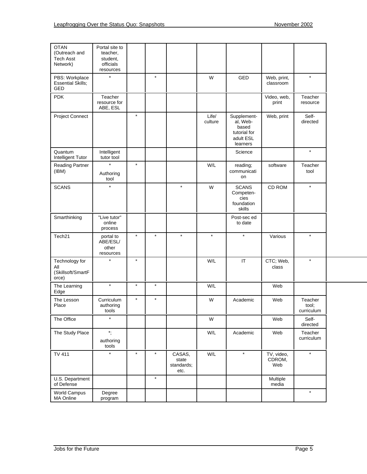| <b>OTAN</b><br>(Outreach and<br><b>Tech Asst</b><br>Network) | Portal site to<br>teacher,<br>student,<br>officials<br>resources |         |         |                                       |                  |                                                                           |                             |                                |
|--------------------------------------------------------------|------------------------------------------------------------------|---------|---------|---------------------------------------|------------------|---------------------------------------------------------------------------|-----------------------------|--------------------------------|
| PBS: Workplace<br><b>Essential Skills;</b><br>GED            | $\star$                                                          |         | $\star$ |                                       | W                | GED                                                                       | Web, print,<br>classroom    | $\star$                        |
| <b>PDK</b>                                                   | Teacher<br>resource for<br>ABE, ESL                              |         |         |                                       |                  |                                                                           | Video, web,<br>print        | Teacher<br>resource            |
| Project Connect                                              |                                                                  | $\star$ |         |                                       | Life/<br>culture | Supplement-<br>al, Web-<br>based<br>tutorial for<br>adult ESL<br>learners | Web, print                  | Self-<br>directed              |
| Quantum<br>Intelligent Tutor                                 | Intelligent<br>tutor tool                                        |         |         |                                       |                  | Science                                                                   |                             | $\star$                        |
| <b>Reading Partner</b><br>(IBM)                              | $\star$<br>Authoring<br>tool                                     | $\star$ |         |                                       | W/L              | reading;<br>communicati<br>on                                             | software                    | Teacher<br>tool                |
| <b>SCANS</b>                                                 | $\star$                                                          |         |         | $\star$                               | W                | <b>SCANS</b><br>Competen-<br>cies<br>foundation<br>skills                 | CD ROM                      | $\star$                        |
| Smarthinking                                                 | "Live tutor"<br>online<br>process                                |         |         |                                       |                  | Post-sec ed<br>to date                                                    |                             |                                |
| Tech <sub>21</sub>                                           | portal to<br>ABE/ESL/<br>other<br>resources                      | $\star$ | $\star$ | $\star$                               | $\star$          | $\star$                                                                   | Various                     | $\star$                        |
| Technology for<br>All<br>(Skillsoft/SmartF<br>orce)          | $\star$                                                          | $\star$ |         |                                       | W/L              | IT                                                                        | CTC; Web,<br>class          | $\star$                        |
| The Learning<br>Edge                                         | $\star$                                                          | $\star$ | $\star$ |                                       | W/L              |                                                                           | Web                         |                                |
| The Lesson<br>Place                                          | Curriculum<br>authoring<br>tools                                 | $\star$ | $\star$ |                                       | W                | Academic                                                                  | Web                         | Teacher<br>tool:<br>curriculum |
| The Office                                                   | $\star$                                                          |         |         |                                       | W                |                                                                           | Web                         | Self-<br>directed              |
| The Study Place                                              | $^\star$ ,<br>authoring<br>tools                                 |         |         |                                       | W/L              | Academic                                                                  | Web                         | Teacher<br>curriculum          |
| <b>TV 411</b>                                                | $\star$                                                          | $\star$ | $\star$ | CASAS,<br>state<br>standards;<br>etc. | W/L              | $\star$                                                                   | TV, video,<br>CDROM,<br>Web | $\star$                        |
| U.S. Department<br>of Defense                                |                                                                  |         | $\star$ |                                       |                  |                                                                           | Multiple<br>media           |                                |
| World Campus<br><b>MA Online</b>                             | Degree<br>program                                                |         |         |                                       |                  |                                                                           |                             | $\star$                        |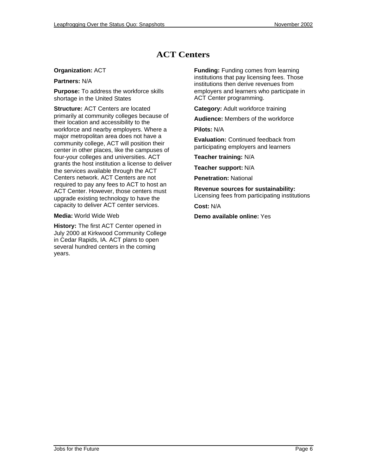### **ACT Centers**

### **Organization:** ACT

**Partners:** N/A

**Purpose:** To address the workforce skills shortage in the United States

**Structure:** ACT Centers are located primarily at community colleges because of their location and accessibility to the workforce and nearby employers. Where a major metropolitan area does not have a community college, ACT will position their center in other places, like the campuses of four-your colleges and universities. ACT grants the host institution a license to deliver the services available through the ACT Centers network. ACT Centers are not required to pay any fees to ACT to host an ACT Center. However, those centers must upgrade existing technology to have the capacity to deliver ACT center services.

#### **Media:** World Wide Web

**History:** The first ACT Center opened in July 2000 at Kirkwood Community College in Cedar Rapids, IA. ACT plans to open several hundred centers in the coming years.

**Funding:** Funding comes from learning institutions that pay licensing fees. Those institutions then derive revenues from employers and learners who participate in ACT Center programming.

**Category:** Adult workforce training

**Audience:** Members of the workforce

**Pilots:** N/A

**Evaluation:** Continued feedback from participating employers and learners

**Teacher training:** N/A

**Teacher support:** N/A

**Penetration:** National

**Revenue sources for sustainability:** Licensing fees from participating institutions

**Cost:** N/A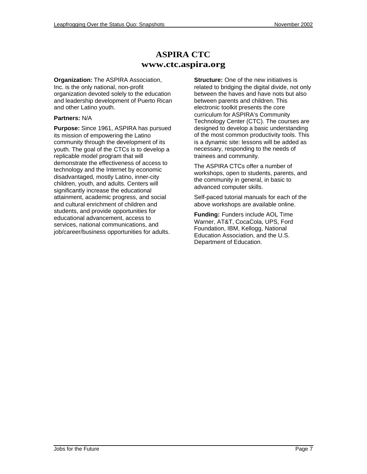### **ASPIRA CTC www.ctc.aspira.org**

**Organization:** The ASPIRA Association, Inc. is the only national, non-profit organization devoted solely to the education and leadership development of Puerto Rican and other Latino youth.

### **Partners:** N/A

**Purpose:** Since 1961, ASPIRA has pursued its mission of empowering the Latino community through the development of its youth. The goal of the CTCs is to develop a replicable model program that will demonstrate the effectiveness of access to technology and the Internet by economic disadvantaged, mostly Latino, inner-city children, youth, and adults. Centers will significantly increase the educational attainment, academic progress, and social and cultural enrichment of children and students, and provide opportunities for educational advancement, access to services, national communications, and job/career/business opportunities for adults.

**Structure:** One of the new initiatives is related to bridging the digital divide, not only between the haves and have nots but also between parents and children. This electronic toolkit presents the core curriculum for ASPIRA's Community Technology Center (CTC). The courses are designed to develop a basic understanding of the most common productivity tools. This is a dynamic site: lessons will be added as necessary, responding to the needs of trainees and community.

The ASPIRA CTCs offer a number of workshops, open to students, parents, and the community in general, in basic to advanced computer skills.

Self-paced tutorial manuals for each of the above workshops are available online.

**Funding:** Funders include AOL Time Warner, AT&T, CocaCola, UPS, Ford Foundation, IBM, Kellogg, National Education Association, and the U.S. Department of Education.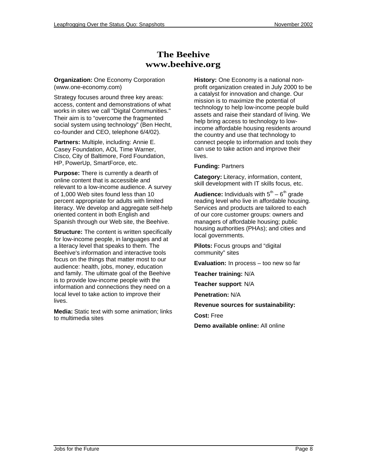### **The Beehive www.beehive.org**

**Organization:** One Economy Corporation (www.one-economy.com)

Strategy focuses around three key areas: access, content and demonstrations of what works in sites we call "Digital Communities." Their aim is to "overcome the fragmented social system using technology" (Ben Hecht, co-founder and CEO, telephone 6/4/02).

**Partners:** Multiple, including: Annie E. Casey Foundation, AOL Time Warner, Cisco, City of Baltimore, Ford Foundation, HP, PowerUp, SmartForce, etc.

**Purpose:** There is currently a dearth of online content that is accessible and relevant to a low-income audience. A survey of 1,000 Web sites found less than 10 percent appropriate for adults with limited literacy. We develop and aggregate self-help oriented content in both English and Spanish through our Web site, the Beehive.

**Structure:** The content is written specifically for low-income people, in languages and at a literacy level that speaks to them. The Beehive's information and interactive tools focus on the things that matter most to our audience: health, jobs, money, education and family. The ultimate goal of the Beehive is to provide low-income people with the information and connections they need on a local level to take action to improve their lives.

**Media:** Static text with some animation; links to multimedia sites

**History:** One Economy is a national nonprofit organization created in July 2000 to be a catalyst for innovation and change. Our mission is to maximize the potential of technology to help low-income people build assets and raise their standard of living. We help bring access to technology to lowincome affordable housing residents around the country and use that technology to connect people to information and tools they can use to take action and improve their lives.

### **Funding:** Partners

**Category:** Literacy, information, content, skill development with IT skills focus, etc.

**Audience:** Individuals with  $5<sup>th</sup> - 6<sup>th</sup>$  grade reading level who live in affordable housing. Services and products are tailored to each of our core customer groups: owners and managers of affordable housing; public housing authorities (PHAs); and cities and local governments.

**Pilots:** Focus groups and "digital community" sites

**Evaluation:** In process – too new so far

**Teacher training:** N/A

**Teacher support**: N/A

**Penetration:** N/A

**Revenue sources for sustainability:**

**Cost:** Free

**Demo available online:** All online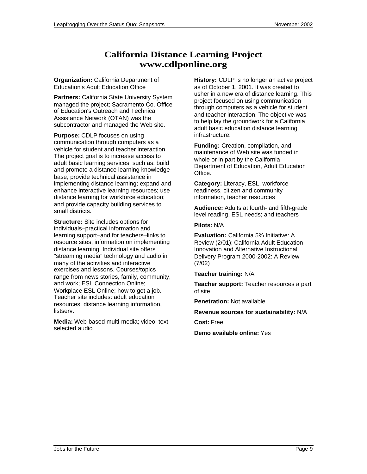### **California Distance Learning Project www.cdlponline.org**

**Organization:** California Department of Education's Adult Education Office

**Partners:** California State University System managed the project; Sacramento Co. Office of Education's Outreach and Technical Assistance Network (OTAN) was the subcontractor and managed the Web site.

**Purpose:** CDLP focuses on using communication through computers as a vehicle for student and teacher interaction. The project goal is to increase access to adult basic learning services, such as: build and promote a distance learning knowledge base, provide technical assistance in implementing distance learning; expand and enhance interactive learning resources; use distance learning for workforce education; and provide capacity building services to small districts.

**Structure:** Site includes options for individuals–practical information and learning support–and for teachers–links to resource sites, information on implementing distance learning. Individual site offers "streaming media" technology and audio in many of the activities and interactive exercises and lessons. Courses/topics range from news stories, family, community, and work; ESL Connection Online; Workplace ESL Online; how to get a job. Teacher site includes: adult education resources, distance learning information, listserv.

**Media:** Web-based multi-media; video, text, selected audio

**History:** CDLP is no longer an active project as of October 1, 2001. It was created to usher in a new era of distance learning. This project focused on using communication through computers as a vehicle for student and teacher interaction. The objective was to help lay the groundwork for a California adult basic education distance learning infrastructure.

**Funding:** Creation, compilation, and maintenance of Web site was funded in whole or in part by the California Department of Education, Adult Education Office.

**Category:** Literacy, ESL, workforce readiness, citizen and community information, teacher resources

**Audience:** Adults at fourth- and fifth-grade level reading, ESL needs; and teachers

**Pilots:** N/A

**Evaluation:** California 5% Initiative: A Review (2/01); California Adult Education Innovation and Alternative Instructional Delivery Program 2000-2002: A Review (7/02)

**Teacher training:** N/A

**Teacher support:** Teacher resources a part of site

**Penetration:** Not available

**Revenue sources for sustainability:** N/A

**Cost:** Free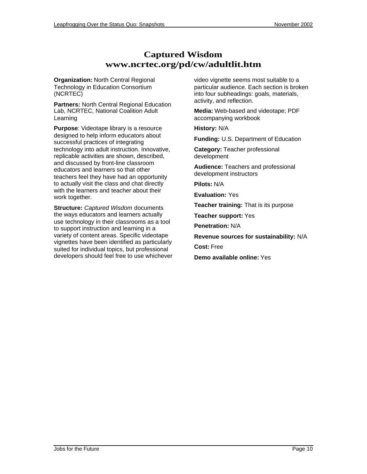### **Captured Wisdom www.ncrtec.org/pd/cw/adultlit.htm**

**Organization:** North Central Regional Technology in Education Consortium (NCRTEC)

**Partners:** North Central Regional Education Lab, NCRTEC, National Coalition Adult Learning

**Purpose**: Videotape library is a resource designed to help inform educators about successful practices of integrating technology into adult instruction. Innovative, replicable activities are shown, described, and discussed by front-line classroom educators and learners so that other teachers feel they have had an opportunity to actually visit the class and chat directly with the learners and teacher about their work together.

**Structure:** Captured Wisdom documents the ways educators and learners actually use technology in their classrooms as a tool to support instruction and learning in a variety of content areas. Specific videotape vignettes have been identified as particularly suited for individual topics, but professional developers should feel free to use whichever video vignette seems most suitable to a particular audience. Each section is broken into four subheadings: goals, materials, activity, and reflection.

**Media:** Web-based and videotape; PDF accompanying workbook

**History:** N/A

**Funding:** U.S. Department of Education

**Category:** Teacher professional development

**Audience:** Teachers and professional development instructors

**Pilots:** N/A

**Evaluation:** Yes

**Teacher training:** That is its purpose

**Teacher support:** Yes

**Penetration:** N/A

**Revenue sources for sustainability:** N/A

**Cost:** Free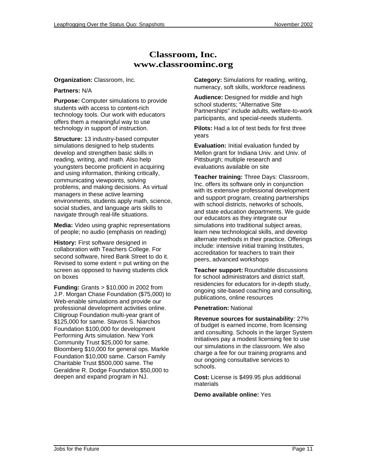### **Classroom, Inc. www.classroominc.org**

#### **Organization:** Classroom, Inc.

#### **Partners:** N/A

**Purpose:** Computer simulations to provide students with access to content-rich technology tools. Our work with educators offers them a meaningful way to use technology in support of instruction.

**Structure:** 13 industry-based computer simulations designed to help students develop and strengthen basic skills in reading, writing, and math. Also help youngsters become proficient in acquiring and using information, thinking critically, communicating viewpoints, solving problems, and making decisions. As virtual managers in these active learning environments, students apply math, science, social studies, and language arts skills to navigate through real-life situations.

**Media:** Video using graphic representations of people; no audio (emphasis on reading)

**History:** First software designed in collaboration with Teachers College. For second software, hired Bank Street to do it. Revised to some  $ext{extent} = put writing on the$ screen as opposed to having students click on boxes

**Funding:** Grants > \$10,000 in 2002 from J.P. Morgan Chase Foundation (\$75,000) to Web-enable simulations and provide our professional development activities online. Citigroup Foundation multi-year grant of \$125,000 for same. Stavros S. Niarchos Foundation \$100,000 for development Performing Arts simulation. New York Community Trust \$25,000 for same. Bloomberg \$10,000 for general ops. Markle Foundation \$10,000 same. Carson Family Charitable Trust \$500,000 same. The Geraldine R. Dodge Foundation \$50,000 to deepen and expand program in NJ.

**Category:** Simulations for reading, writing, numeracy, soft skills, workforce readiness

**Audience:** Designed for middle and high school students; "Alternative Site Partnerships" include adults, welfare-to-work participants, and special-needs students.

**Pilots:** Had a lot of test beds for first three years

**Evaluation:** Initial evaluation funded by Mellon grant for Indiana Univ. and Univ. of Pittsburgh; multiple research and evaluations available on site

**Teacher training:** Three Days: Classroom, Inc. offers its software only in conjunction with its extensive professional development and support program, creating partnerships with school districts, networks of schools, and state education departments. We guide our educators as they integrate our simulations into traditional subject areas, learn new technological skills, and develop alternate methods in their practice. Offerings include: intensive initial training Institutes, accreditation for teachers to train their peers, advanced workshops

**Teacher support:** Roundtable discussions for school administrators and district staff, residencies for educators for in-depth study, ongoing site-based coaching and consulting, publications, online resources

#### **Penetration:** National

**Revenue sources for sustainability**: 27% of budget is earned income, from licensing and consulting. Schools in the larger System Initiatives pay a modest licensing fee to use our simulations in the classroom. We also charge a fee for our training programs and our ongoing consultative services to schools.

**Cost:** License is \$499.95 plus additional materials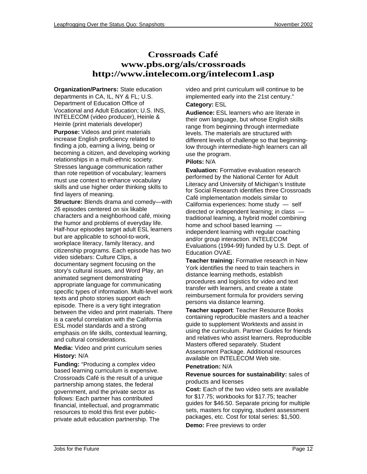### **Crossroads Café www.pbs.org/als/crossroads <http://www.intelecom.org/intelecom1.asp>**

**Organization/Partners:** State education departments in CA, IL, NY & FL; U.S. Department of Education Office of Vocational and Adult Education; U.S. INS, INTELECOM (video producer), Heinle & Heinle (print materials developer)

**Purpose:** Videos and print materials increase English proficiency related to finding a job, earning a living, being or becoming a citizen, and developing working relationships in a multi-ethnic society. Stresses language communication rather than rote repetition of vocabulary; learners must use context to enhance vocabulary skills and use higher order thinking skills to find layers of meaning.

**Structure:** Blends drama and comedy—with 26 episodes centered on six likable characters and a neighborhood café, mixing the humor and problems of everyday life. Half-hour episodes target adult ESL learners but are applicable to school-to-work, workplace literacy, family literacy, and citizenship programs. Each episode has two video sidebars: Culture Clips, a documentary segment focusing on the story's cultural issues, and Word Play, an animated segment demonstrating appropriate language for communicating specific types of information. Multi-level work texts and photo stories support each episode. There is a very tight integration between the video and print materials. There is a careful correlation with the California ESL model standards and a strong emphasis on life skills, contextual learning, and cultural considerations.

**Media:** Video and print curriculum series **History:** N/A

**Funding:** "Producing a complex video based learning curriculum is expensive. Crossroads Café is the result of a unique partnership among states, the federal government, and the private sector as follows: Each partner has contributed financial, intellectual, and programmatic resources to mold this first ever publicprivate adult education partnership. The

video and print curriculum will continue to be implemented early into the 21st century." **Category:** ESL

**Audience:** ESL learners who are literate in their own language, but whose English skills range from beginning through intermediate levels. The materials are structured with different levels of challenge so that beginninglow through intermediate-high learners can all use the program.

**Pilots:** N/A

**Evaluation:** Formative evaluation research performed by the National Center for Adult Literacy and University of Michigan's Institute for Social Research identifies three Crossroads Café implementation models similar to California experiences: home study — self directed or independent learning; in class traditional learning, a hybrid model combining home and school based learning independent learning with regular coaching and/or group interaction. INTELECOM Evaluations (1994-99) funded by U.S. Dept. of Education OVAE.

**Teacher training:** Formative research in New York identifies the need to train teachers in distance learning methods, establish procedures and logistics for video and text transfer with learners, and create a state reimbursement formula for providers serving persons via distance learning.

**Teacher support**: Teacher Resource Books containing reproducible masters and a teacher guide to supplement Worktexts and assist in using the curriculum. Partner Guides for friends and relatives who assist learners. Reproducible Masters offered separately. Student Assessment Package. Additional resources available on INTELECOM Web site.

#### **Penetration:** N/A

#### **Revenue sources for sustainability:** sales of products and licenses

**Cost:** Each of the two video sets are available for \$17.75; workbooks for \$17.75; teacher guides for \$46.50. Separate pricing for multiple sets, masters for copying, student assessment packages, etc. Cost for total series: \$1,500.

**Demo:** Free previews to order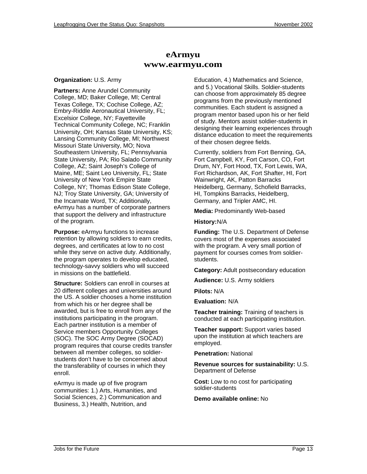### **eArmyu www.earmyu.com**

#### **Organization:** U.S. Army

**Partners:** Anne Arundel Community College, MD; Baker College, MI; Central Texas College, TX; Cochise College, AZ; Embry-Riddle Aeronautical University, FL; Excelsior College, NY; Fayetteville Technical Community College, NC; Franklin University, OH; Kansas State University, KS; Lansing Community College, MI; Northwest Missouri State University, MO; Nova Southeastern University, FL; Pennsylvania State University, PA; Rio Salado Community College, AZ; Saint Joseph's College of Maine, ME; Saint Leo University, FL; State University of New York Empire State College, NY; Thomas Edison State College, NJ; Troy State University, GA; University of the Incarnate Word, TX; Additionally, eArmyu has a number of corporate partners that support the delivery and infrastructure of the program.

**Purpose:** eArmyu functions to increase retention by allowing soldiers to earn credits, degrees, and certificates at low to no cost while they serve on active duty. Additionally, the program operates to develop educated, technology-savvy soldiers who will succeed in missions on the battlefield.

**Structure:** Soldiers can enroll in courses at 20 different colleges and universities around the US. A soldier chooses a home institution from which his or her degree shall be awarded, but is free to enroll from any of the institutions participating in the program. Each partner institution is a member of Service members Opportunity Colleges (SOC). The SOC Army Degree (SOCAD) program requires that course credits transfer between all member colleges, so soldierstudents don't have to be concerned about the transferability of courses in which they enroll.

eArmyu is made up of five program communities: 1.) Arts, Humanities, and Social Sciences, 2.) Communication and Business, 3.) Health, Nutrition, and

Education, 4.) Mathematics and Science, and 5.) Vocational Skills. Soldier-students can choose from approximately 85 degree programs from the previously mentioned communities. Each student is assigned a program mentor based upon his or her field of study. Mentors assist soldier-students in designing their learning experiences through distance education to meet the requirements of their chosen degree fields.

Currently, soldiers from Fort Benning, GA, Fort Campbell, KY, Fort Carson, CO, Fort Drum, NY, Fort Hood, TX, Fort Lewis, WA, Fort Richardson, AK, Fort Shafter, HI, Fort Wainwright, AK, Patton Barracks Heidelberg, Germany, Schofield Barracks, HI, Tompkins Barracks, Heidelberg, Germany, and Tripler AMC, HI.

**Media:** Predominantly Web-based

#### **History:**N/A

**Funding:** The U.S. Department of Defense covers most of the expenses associated with the program. A very small portion of payment for courses comes from soldierstudents.

**Category:** Adult postsecondary education

**Audience:** U.S. Army soldiers

**Pilots:** N/A

**Evaluation:** N/A

**Teacher training:** Training of teachers is conducted at each participating institution.

**Teacher support:** Support varies based upon the institution at which teachers are employed.

**Penetration:** National

**Revenue sources for sustainability:** U.S. Department of Defense

**Cost:** Low to no cost for participating soldier-students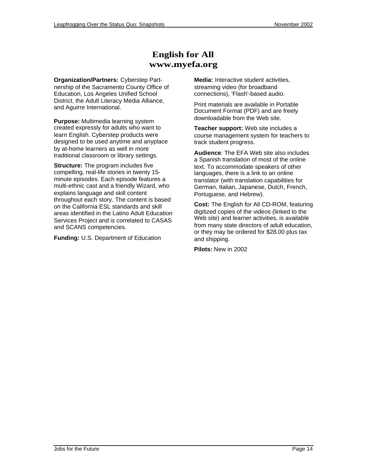### **English for All www.myefa.org**

**Organization/Partners:** Cyberstep Partnership of the Sacramento County Office of Education, Los Angeles Unified School District, the Adult Literacy Media Alliance, and Aguirre International.

**Purpose:** Multimedia learning system created expressly for adults who want to learn English. Cyberstep products were designed to be used anytime and anyplace by at-home learners as well in more traditional classroom or library settings.

**Structure:** The program includes five compelling, real-life stories in twenty 15 minute episodes. Each episode features a multi-ethnic cast and a friendly Wizard, who explains language and skill content throughout each story. The content is based on the California ESL standards and skill areas identified in the Latino Adult Education Services Project and is correlated to CASAS and SCANS competencies.

**Funding:** U.S. Department of Education

**Media:** Interactive student activities, streaming video (for broadband connections), 'Flash'-based audio.

Print materials are available in Portable Document Format (PDF) and are freely downloadable from the Web site.

**Teacher support:** Web site includes a course management system for teachers to track student progress.

**Audience**: The EFA Web site also includes a Spanish translation of most of the online text. To accommodate speakers of other languages, there is a link to an online translator (with translation capabilities for German, Italian, Japanese, Dutch, French, Portuguese, and Hebrew).

**Cost:** The English for All CD-ROM, featuring digitized copies of the videos (linked to the Web site) and learner activities, is available from many state directors of adult education, or they may be ordered for \$28.00 plus tax and shipping.

**Pilots:** New in 2002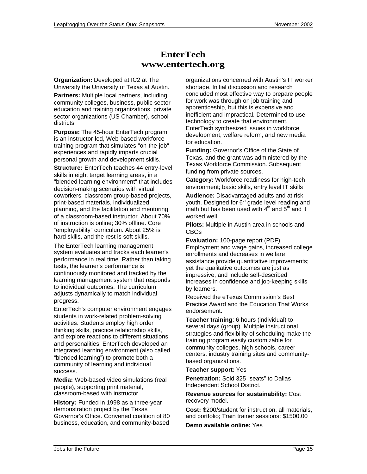### **EnterTech www.entertech.org**

**Organization:** Developed at IC2 at The University the University of Texas at Austin. **Partners:** Multiple local partners, including community colleges, business, public sector education and training organizations, private sector organizations (US Chamber), school districts.

**Purpose:** The 45-hour EnterTech program is an instructor-led, Web-based workforce training program that simulates "on-the-job" experiences and rapidly imparts crucial personal growth and development skills.

**Structure:** EnterTech teaches 44 entry-level skills in eight target learning areas, in a "blended learning environment" that includes decision-making scenarios with virtual coworkers, classroom group-based projects, print-based materials, individualized planning, and the facilitation and mentoring of a classroom-based instructor. About 70% of instruction is online; 30% offline. Core "employability" curriculum. About 25% is hard skills, and the rest is soft skills.

The EnterTech learning management system evaluates and tracks each learner's performance in real time. Rather than taking tests, the learner's performance is continuously monitored and tracked by the learning management system that responds to individual outcomes. The curriculum adjusts dynamically to match individual progress.

EnterTech's computer environment engages students in work-related problem-solving activities. Students employ high order thinking skills, practice relationship skills, and explore reactions to different situations and personalities. EnterTech developed an integrated learning environment (also called "blended learning") to promote both a community of learning and individual success.

**Media:** Web-based video simulations (real people), supporting print material, classroom-based with instructor

**History:** Funded in 1998 as a three-year demonstration project by the Texas Governor's Office. Convened coalition of 80 business, education, and community-based

organizations concerned with Austin's IT worker shortage. Initial discussion and research concluded most effective way to prepare people for work was through on job training and apprenticeship, but this is expensive and inefficient and impractical. Determined to use technology to create that environment. EnterTech synthesized issues in workforce development, welfare reform, and new media for education.

**Funding:** Governor's Office of the State of Texas, and the grant was administered by the Texas Workforce Commission. Subsequent funding from private sources.

**Category:** Workforce readiness for high-tech environment; basic skills, entry level IT skills

**Audience:** Disadvantaged adults and at risk youth. Designed for 6<sup>th</sup> grade level reading and math but has been used with  $4<sup>th</sup>$  and  $5<sup>th</sup>$  and it worked well.

**Pilots:** Multiple in Austin area in schools and CBOs

**Evaluation:** 100-page report (PDF). Employment and wage gains, increased college enrollments and decreases in welfare assistance provide quantitative improvements; yet the qualitative outcomes are just as impressive, and include self-described increases in confidence and job-keeping skills by learners.

Received the eTexas Commission's Best Practice Award and the Education That Works endorsement.

**Teacher training**: 6 hours (individual) to several days (group). Multiple instructional strategies and flexibility of scheduling make the training program easily customizable for community colleges, high schools, career centers, industry training sites and communitybased organizations.

#### **Teacher support:** Yes

**Penetration:** Sold 325 "seats" to Dallas Independent School District.

**Revenue sources for sustainability:** Cost recovery model.

**Cost:** \$200/student for instruction, all materials, and portfolio; Train trainer sessions: \$1500.00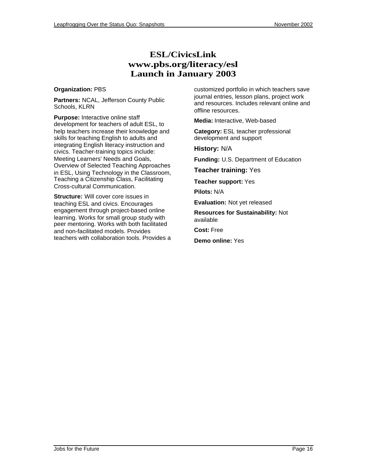### **ESL/CivicsLink www.pbs.org/literacy/esl Launch in January 2003**

#### **Organization:** PBS

**Partners:** NCAL, Jefferson County Public Schools, KLRN

**Purpose:** Interactive online staff development for teachers of adult ESL, to help teachers increase their knowledge and skills for teaching English to adults and integrating English literacy instruction and civics. Teacher-training topics include: Meeting Learners' Needs and Goals, Overview of Selected Teaching Approaches in ESL, Using Technology in the Classroom, Teaching a Citizenship Class, Facilitating Cross-cultural Communication.

**Structure:** Will cover core issues in teaching ESL and civics. Encourages engagement through project-based online learning. Works for small group study with peer mentoring. Works with both facilitated and non-facilitated models. Provides teachers with collaboration tools. Provides a

customized portfolio in which teachers save journal entries, lesson plans, project work and resources. Includes relevant online and offline resources.

**Media:** Interactive, Web-based

**Category:** ESL teacher professional development and support

**History:** N/A

**Funding:** U.S. Department of Education

**Teacher training:** Yes

**Teacher support:** Yes

**Pilots:** N/A

**Evaluation:** Not yet released

**Resources for Sustainability:** Not available

**Cost:** Free

**Demo online:** Yes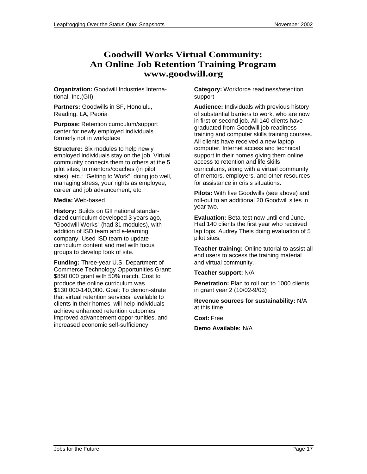### **Goodwill Works Virtual Community: An Online Job Retention Training Program www.goodwill.org**

**Organization:** Goodwill Industries International, Inc.(GII)

**Partners:** Goodwills in SF, Honolulu, Reading, LA, Peoria

**Purpose:** Retention curriculum/support center for newly employed individuals formerly not in workplace

**Structure:** Six modules to help newly employed individuals stay on the job. Virtual community connects them to others at the 5 pilot sites, to mentors/coaches (in pilot sites), etc.: "Getting to Work", doing job well, managing stress, your rights as employee, career and job advancement, etc.

#### **Media:** Web-based

**History:** Builds on GII national standardized curriculum developed 3 years ago, "Goodwill Works" (had 31 modules), with addition of ISD team and e-learning company. Used ISD team to update curriculum content and met with focus groups to develop look of site.

**Funding:** Three-year U.S. Department of Commerce Technology Opportunities Grant: \$850,000 grant with 50% match. Cost to produce the online curriculum was \$130,000-140,000. Goal: To demon-strate that virtual retention services, available to clients in their homes, will help individuals achieve enhanced retention outcomes, improved advancement oppor-tunities, and increased economic self-sufficiency.

**Category:** Workforce readiness/retention support

**Audience:** Individuals with previous history of substantial barriers to work, who are now in first or second job. All 140 clients have graduated from Goodwill job readiness training and computer skills training courses. All clients have received a new laptop computer, Internet access and technical support in their homes giving them online access to retention and life skills curriculums, along with a virtual community of mentors, employers, and other resources for assistance in crisis situations.

**Pilots:** With five Goodwills (see above) and roll-out to an additional 20 Goodwill sites in year two.

**Evaluation:** Beta-test now until end June. Had 140 clients the first year who received lap tops. Audrey Theis doing evaluation of 5 pilot sites.

**Teacher training:** Online tutorial to assist all end users to access the training material and virtual community.

### **Teacher support:** N/A

**Penetration:** Plan to roll out to 1000 clients in grant year 2 (10/02-9/03)

**Revenue sources for sustainability:** N/A at this time

**Cost:** Free

**Demo Available:** N/A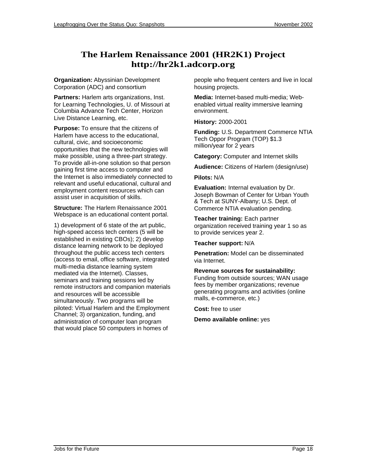### **The Harlem Renaissance 2001 (HR2K1) Project <http://hr2k1.adcorp.org>**

**Organization:** Abyssinian Development Corporation (ADC) and consortium

**Partners:** Harlem arts organizations, Inst. for Learning Technologies, U. of Missouri at Columbia Advance Tech Center, Horizon Live Distance Learning, etc.

**Purpose:** To ensure that the citizens of Harlem have access to the educational, cultural, civic, and socioeconomic opportunities that the new technologies will make possible, using a three-part strategy. To provide all-in-one solution so that person gaining first time access to computer and the Internet is also immediately connected to relevant and useful educational, cultural and employment content resources which can assist user in acquisition of skills.

**Structure:** The Harlem Renaissance 2001 Webspace is an educational content portal.

1) development of 6 state of the art public, high-speed access tech centers (5 will be established in existing CBOs); 2) develop distance learning network to be deployed throughout the public access tech centers (access to email, office software, integrated multi-media distance learning system mediated via the Internet). Classes, seminars and training sessions led by remote instructors and companion materials and resources will be accessible simultaneously. Two programs will be piloted: Virtual Harlem and the Employment Channel; 3) organization, funding, and administration of computer loan program that would place 50 computers in homes of

people who frequent centers and live in local housing projects.

**Media:** Internet-based multi-media; Webenabled virtual reality immersive learning environment.

**History:** 2000-2001

**Funding:** U.S. Department Commerce NTIA Tech Oppor Program (TOP) \$1.3 million/year for 2 years

**Category:** Computer and Internet skills

**Audience:** Citizens of Harlem (design/use)

**Pilots:** N/A

**Evaluation:** Internal evaluation by Dr. Joseph Bowman of Center for Urban Youth & Tech at SUNY-Albany; U.S. Dept. of Commerce NTIA evaluation pending.

**Teacher training:** Each partner organization received training year 1 so as to provide services year 2.

**Teacher support:** N/A

**Penetration:** Model can be disseminated via Internet.

**Revenue sources for sustainability:**

Funding from outside sources; WAN usage fees by member organizations; revenue generating programs and activities (online malls, e-commerce, etc.)

**Cost:** free to user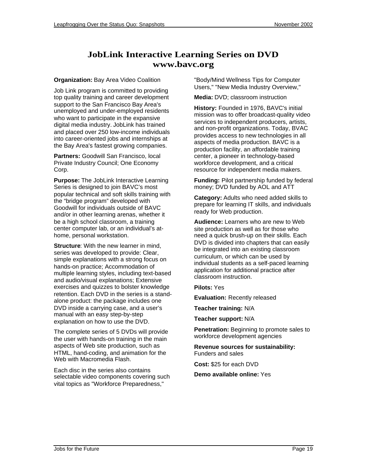### **JobLink Interactive Learning Series on DVD www.bavc.org**

### **Organization:** Bay Area Video Coalition

Job Link program is committed to providing top quality training and career development support to the San Francisco Bay Area's unemployed and under-employed residents who want to participate in the expansive digital media industry. JobLink has trained and placed over 250 low-income individuals into career-oriented jobs and internships at the Bay Area's fastest growing companies.

**Partners:** Goodwill San Francisco, local Private Industry Council; One Economy Corp.

**Purpose:** The JobLink Interactive Learning Series is designed to join BAVC's most popular technical and soft skills training with the "bridge program" developed with Goodwill for individuals outside of BAVC and/or in other learning arenas, whether it be a high school classroom, a training center computer lab, or an individual's athome, personal workstation.

**Structure**: With the new learner in mind, series was developed to provide: Clear, simple explanations with a strong focus on hands-on practice; Accommodation of multiple learning styles, including text-based and audio/visual explanations; Extensive exercises and quizzes to bolster knowledge retention. Each DVD in the series is a standalone product: the package includes one DVD inside a carrying case, and a user's manual with an easy step-by-step explanation on how to use the DVD.

The complete series of 5 DVDs will provide the user with hands-on training in the main aspects of Web site production, such as HTML, hand-coding, and animation for the Web with Macromedia Flash.

Each disc in the series also contains selectable video components covering such vital topics as "Workforce Preparedness,"

"Body/Mind Wellness Tips for Computer Users," "New Media Industry Overview,"

**Media:** DVD; classroom instruction

**History:** Founded in 1976, BAVC's initial mission was to offer broadcast-quality video services to independent producers, artists, and non-profit organizations. Today, BVAC provides access to new technologies in all aspects of media production. BAVC is a production facility, an affordable training center, a pioneer in technology-based workforce development, and a critical resource for independent media makers.

**Funding:** Pilot partnership funded by federal money; DVD funded by AOL and ATT

**Category:** Adults who need added skills to prepare for learning IT skills, and individuals ready for Web production.

**Audience:** Learners who are new to Web site production as well as for those who need a quick brush-up on their skills. Each DVD is divided into chapters that can easily be integrated into an existing classroom curriculum, or which can be used by individual students as a self-paced learning application for additional practice after classroom instruction.

**Pilots:** Yes

**Evaluation:** Recently released

**Teacher training:** N/A

**Teacher support:** N/A

**Penetration:** Beginning to promote sales to workforce development agencies

**Revenue sources for sustainability:** Funders and sales

**Cost:** \$25 for each DVD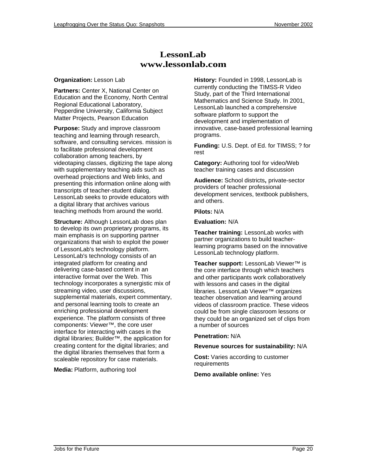### **LessonLab www.lessonlab.com**

#### **Organization:** Lesson Lab

**Partners:** Center X, National Center on Education and the Economy, North Central Regional Educational Laboratory, Pepperdine University, California Subject Matter Projects, Pearson Education

**Purpose:** Study and improve classroom teaching and learning through research, software, and consulting services. mission is to facilitate professional development collaboration among teachers, by videotaping classes, digitizing the tape along with supplementary teaching aids such as overhead projections and Web links, and presenting this information online along with transcripts of teacher-student dialog. LessonLab seeks to provide educators with a digital library that archives various teaching methods from around the world.

**Structure:** Although LessonLab does plan to develop its own proprietary programs, its main emphasis is on supporting partner organizations that wish to exploit the power of LessonLab's technology platform. LessonLab's technology consists of an integrated platform for creating and delivering case-based content in an interactive format over the Web. This technology incorporates a synergistic mix of streaming video, user discussions, supplemental materials, expert commentary, and personal learning tools to create an enriching professional development experience. The platform consists of three components: Viewer™, the core user interface for interacting with cases in the digital libraries; Builder™, the application for creating content for the digital libraries; and the digital libraries themselves that form a scaleable repository for case materials.

**Media:** Platform, authoring tool

**History:** Founded in 1998, LessonLab is currently conducting the TIMSS-R Video Study, part of the Third International Mathematics and Science Study. In 2001, LessonLab launched a comprehensive software platform to support the development and implementation of innovative, case-based professional learning programs.

**Funding:** U.S. Dept. of Ed. for TIMSS; ? for rest

**Category:** Authoring tool for video/Web teacher training cases and discussion

**Audience:** School districts**,** private-sector providers of teacher professional development services, textbook publishers, and others.

**Pilots:** N/A

**Evaluation:** N/A

**Teacher training:** LessonLab works with partner organizations to build teacherlearning programs based on the innovative LessonLab technology platform.

**Teacher support:** LessonLab Viewer™ is the core interface through which teachers and other participants work collaboratively with lessons and cases in the digital libraries. LessonLab Viewer™ organizes teacher observation and learning around videos of classroom practice. These videos could be from single classroom lessons or they could be an organized set of clips from a number of sources

#### **Penetration:** N/A

**Revenue sources for sustainability:** N/A

**Cost:** Varies according to customer requirements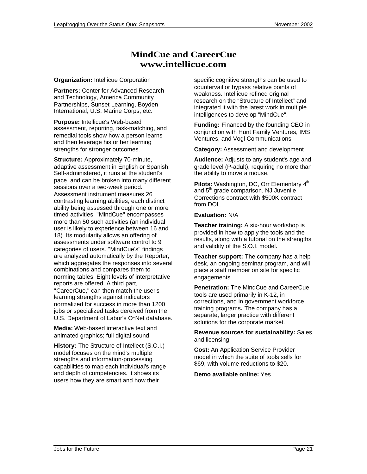### **MindCue and CareerCue www.intellicue.com**

#### **Organization:** Intellicue Corporation

**Partners:** Center for Advanced Research and Technology, America Community Partnerships, Sunset Learning, Boyden International, U.S. Marine Corps, etc.

**Purpose:** Intellicue's Web-based assessment, reporting, task-matching, and remedial tools show how a person learns and then leverage his or her learning strengths for stronger outcomes.

**Structure:** Approximately 70-minute, adaptive assessment in English or Spanish. Self-administered, it runs at the student's pace, and can be broken into many different sessions over a two-week period. Assessment instrument measures 26 contrasting learning abilities, each distinct ability being assessed through one or more timed activities. "MindCue" encompasses more than 50 such activities (an individual user is likely to experience between 16 and 18). Its modularity allows an offering of assessments under software control to 9 categories of users. "MindCue's" findings are analyzed automatically by the Reporter, which aggregates the responses into several combinations and compares them to norming tables. Eight levels of interpretative reports are offered. A third part, "CareerCue," can then match the user's learning strengths against indicators normalized for success in more than 1200 jobs or specialized tasks dereived from the U.S. Department of Labor's O\*Net database.

**Media:** Web-based interactive text and animated graphics; full digital sound

**History:** The Structure of Intellect (S.O.I.) model focuses on the mind's multiple strengths and information-processing capabilities to map each individual's range and depth of competencies. It shows its users how they are smart and how their

specific cognitive strengths can be used to countervail or bypass relative points of weakness. Intellicue refined original research on the "Structure of Intellect" and integrated it with the latest work in multiple intelligences to develop "MindCue".

**Funding:** Financed by the founding CEO in conjunction with Hunt Family Ventures, IMS Ventures, and Vogl Communications

**Category:** Assessment and development

**Audience:** Adjusts to any student's age and grade level (P-adult), requiring no more than the ability to move a mouse.

Pilots: Washington, DC, Orr Elementary 4<sup>th</sup> and  $5<sup>th</sup>$  grade comparison. NJ Juvenile Corrections contract with \$500K contract from DOL.

#### **Evaluation:** N/A

**Teacher training:** A six-hour workshop is provided in how to apply the tools and the results, along with a tutorial on the strengths and validity of the S.O.I. model.

**Teacher support:** The company has a help desk, an ongoing seminar program, and will place a staff member on site for specific engagements.

**Penetration:** The MindCue and CareerCue tools are used primarily in K-12, in corrections, and in government workforce training programs**.** The company has a separate, larger practice with different solutions for the corporate market.

**Revenue sources for sustainability:** Sales and licensing

**Cost:** An Application Service Provider model in which the suite of tools sells for \$69, with volume reductions to \$20.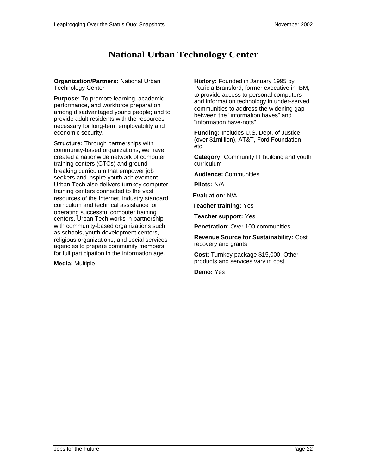### **National Urban Technology Center**

**Organization/Partners:** National Urban Technology Center

**Purpose:** To promote learning, academic performance, and workforce preparation among disadvantaged young people; and to provide adult residents with the resources necessary for long-term employability and economic security.

**Structure:** Through partnerships with community-based organizations, we have created a nationwide network of computer training centers (CTCs) and groundbreaking curriculum that empower job seekers and inspire youth achievement. Urban Tech also delivers turnkey computer training centers connected to the vast resources of the Internet, industry standard curriculum and technical assistance for operating successful computer training centers. Urban Tech works in partnership with community-based organizations such as schools, youth development centers, religious organizations, and social services agencies to prepare community members for full participation in the information age.

**Media:** Multiple

**History:** Founded in January 1995 by Patricia Bransford, former executive in IBM, to provide access to personal computers and information technology in under-served communities to address the widening gap between the "information haves" and "information have-nots".

**Funding:** Includes U.S. Dept. of Justice (over \$1million), AT&T, Ford Foundation, etc.

**Category:** Community IT building and youth curriculum

**Audience:** Communities

**Pilots:** N/A

**Evaluation:** N/A

**Teacher training:** Yes

**Teacher support:** Yes

**Penetration**: Over 100 communities

**Revenue Source for Sustainability:** Cost recovery and grants

**Cost:** Turnkey package \$15,000. Other products and services vary in cost.

**Demo:** Yes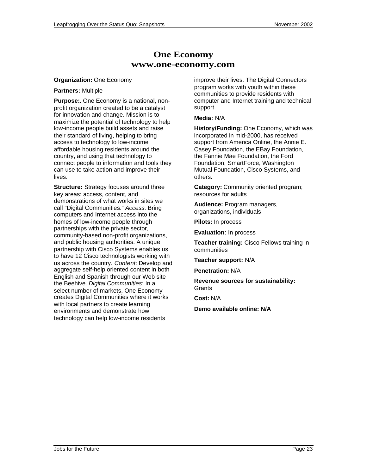### **One Economy www.one-economy.com**

#### **Organization:** One Economy

#### **Partners:** Multiple

**Purpose:**. One Economy is a national, nonprofit organization created to be a catalyst for innovation and change. Mission is to maximize the potential of technology to help low-income people build assets and raise their standard of living, helping to bring access to technology to low-income affordable housing residents around the country, and using that technology to connect people to information and tools they can use to take action and improve their lives.

**Structure:** Strategy focuses around three key areas: access, content, and demonstrations of what works in sites we call "Digital Communities." Access: Bring computers and Internet access into the homes of low-income people through partnerships with the private sector, community-based non-profit organizations, and public housing authorities. A unique partnership with Cisco Systems enables us to have 12 Cisco technologists working with us across the country. Content: Develop and aggregate self-help oriented content in both English and Spanish through our Web site the Beehive. Digital Communities: In a select number of markets, One Economy creates Digital Communities where it works with local partners to create learning environments and demonstrate how technology can help low-income residents

improve their lives. The Digital Connectors program works with youth within these communities to provide residents with computer and Internet training and technical support.

### **Media:** N/A

**History/Funding:** One Economy, which was incorporated in mid-2000, has received support from America Online, the Annie E. Casey Foundation, the EBay Foundation, the Fannie Mae Foundation, the Ford Foundation, SmartForce, Washington Mutual Foundation, Cisco Systems, and others.

**Category:** Community oriented program; resources for adults

**Audience:** Program managers, organizations, individuals

**Pilots:** In process

**Evaluation**: In process

**Teacher training:** Cisco Fellows training in communities

**Teacher support:** N/A

**Penetration:** N/A

**Revenue sources for sustainability: Grants** 

**Cost:** N/A

**Demo available online: N/A**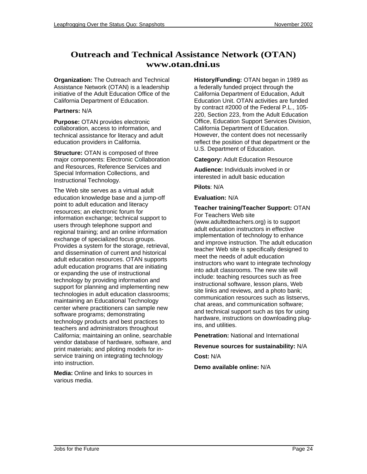### **Outreach and Technical Assistance Network (OTAN) www.otan.dni.us**

**Organization:** The Outreach and Technical Assistance Network (OTAN) is a leadership initiative of the Adult Education Office of the California Department of Education.

### **Partners:** N/A

**Purpose:** OTAN provides electronic collaboration, access to information, and technical assistance for literacy and adult education providers in California.

**Structure:** OTAN is composed of three major components: Electronic Collaboration and Resources, Reference Services and Special Information Collections, and Instructional Technology.

The Web site serves as a virtual adult education knowledge base and a jump-off point to adult education and literacy resources; an electronic forum for information exchange; technical support to users through telephone support and regional training; and an online information exchange of specialized focus groups. Provides a system for the storage, retrieval, and dissemination of current and historical adult education resources. OTAN supports adult education programs that are initiating or expanding the use of instructional technology by providing information and support for planning and implementing new technologies in adult education classrooms; maintaining an Educational Technology center where practitioners can sample new software programs; demonstrating technology products and best practices to teachers and administrators throughout California; maintaining an online, searchable vendor database of hardware, software, and print materials; and piloting models for inservice training on integrating technology into instruction.

**Media:** Online and links to sources in various media.

**History/Funding:** OTAN began in 1989 as a federally funded project through the California Department of Education, Adult Education Unit. OTAN activities are funded by contract #2000 of the Federal P.L., 105- 220, Section 223, from the Adult Education Office, Education Support Services Division, California Department of Education. However, the content does not necessarily reflect the position of that department or the U.S. Department of Education.

**Category:** Adult Education Resource

**Audience:** Individuals involved in or interested in adult basic education

**Pilots**: N/A

**Evaluation:** N/A

#### **Teacher training/Teacher Support:** OTAN For Teachers Web site

(www.adultedteachers.org) is to support adult education instructors in effective implementation of technology to enhance and improve instruction. The adult education teacher Web site is specifically designed to meet the needs of adult education instructors who want to integrate technology into adult classrooms. The new site will include: teaching resources such as free instructional software, lesson plans, Web site links and reviews, and a photo bank; communication resources such as listservs, chat areas, and communication software; and technical support such as tips for using hardware, instructions on downloading plugins, and utilities.

**Penetration:** National and International

**Revenue sources for sustainability:** N/A

**Cost:** N/A

**Demo available online:** N/A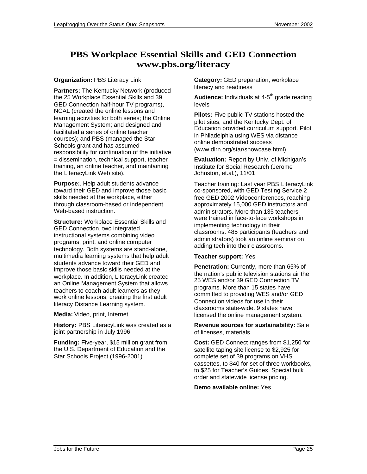### **PBS Workplace Essential Skills and GED Connection www.pbs.org/literacy**

### **Organization:** PBS Literacy Link

**Partners:** The Kentucky Network (produced the 25 Workplace Essential Skills and 39 GED Connection half-hour TV programs), NCAL (created the online lessons and learning activities for both series; the Online Management System; and designed and facilitated a series of online teacher courses); and PBS (managed the Star Schools grant and has assumed responsibility for continuation of the initiative = dissemination, technical support, teacher training, an online teacher, and maintaining the LiteracyLink Web site).

**Purpose:**. Help adult students advance toward their GED and improve those basic skills needed at the workplace, either through classroom-based or independent Web-based instruction.

**Structure:** Workplace Essential Skills and GED Connection, two integrated instructional systems combining video programs, print, and online computer technology. Both systems are stand-alone, multimedia learning systems that help adult students advance toward their GED and improve those basic skills needed at the workplace. In addition, LiteracyLink created an Online Management System that allows teachers to coach adult learners as they work online lessons, creating the first adult literacy Distance Learning system.

**Media:** Video, print, Internet

**History:** PBS LiteracyLink was created as a joint partnership in July 1996

**Funding:** Five-year, \$15 million grant from the U.S. Department of Education and the Star Schools Project.(1996-2001)

**Category:** GED preparation; workplace literacy and readiness

**Audience:** Individuals at 4-5<sup>th</sup> grade reading levels

**Pilots:** Five public TV stations hosted the pilot sites, and the Kentucky Dept. of Education provided curriculum support. Pilot in Philadelphia using WES via distance online demonstrated success (www.dlrn.org/star/showcase.html).

**Evaluation:** Report by Univ. of Michigan's Institute for Social Research (Jerome Johnston, et.al.), 11/01

Teacher training: Last year PBS LiteracyLink co-sponsored, with GED Testing Service 2 free GED 2002 Videoconferences, reaching approximately 15,000 GED instructors and administrators. More than 135 teachers were trained in face-to-face workshops in implementing technology in their classrooms. 485 participants (teachers and administrators) took an online seminar on adding tech into their classrooms.

### **Teacher support:** Yes

**Penetration:** Currently, more than 65% of the nation's public television stations air the 25 WES and/or 39 GED Connection TV programs. More than 15 states have committed to providing WES and/or GED Connection videos for use in their classrooms state-wide. 9 states have licensed the online management system.

#### **Revenue sources for sustainability:** Sale of licenses, materials

**Cost:** GED Connect ranges from \$1,250 for satellite taping site license to \$2,925 for complete set of 39 programs on VHS cassettes, to \$40 for set of three workbooks, to \$25 for Teacher's Guides. Special bulk order and statewide license pricing.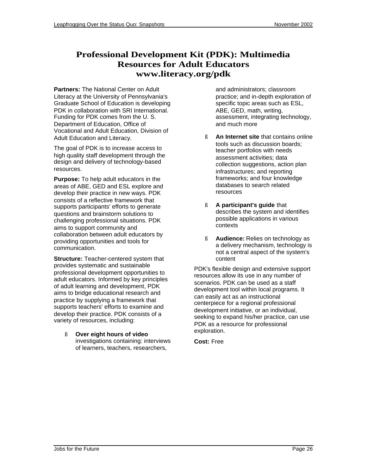### **Professional Development Kit (PDK): Multimedia Resources for Adult Educators www.literacy.org/pdk**

**Partners:** The National Center on Adult Literacy at the University of Pennsylvania's Graduate School of Education is developing PDK in collaboration with SRI International. Funding for PDK comes from the U. S. Department of Education, Office of Vocational and Adult Education, Division of Adult Education and Literacy.

The goal of PDK is to increase access to high quality staff development through the design and delivery of technology-based resources.

**Purpose:** To help adult educators in the areas of ABE, GED and ESL explore and develop their practice in new ways. PDK consists of a reflective framework that supports participants' efforts to generate questions and brainstorm solutions to challenging professional situations. PDK aims to support community and collaboration between adult educators by providing opportunities and tools for communication.

**Structure:** Teacher-centered system that provides systematic and sustainable professional development opportunities to adult educators. Informed by key principles of adult learning and development, PDK aims to bridge educational research and practice by supplying a framework that supports teachers' efforts to examine and develop their practice. PDK consists of a variety of resources, including:

ß **Over eight hours of video** investigations containing: interviews of learners, teachers, researchers,

and administrators; classroom practice; and in-depth exploration of specific topic areas such as ESL, ABE, GED, math, writing, assessment, integrating technology, and much more

- ß **An Internet site** that contains online tools such as discussion boards; teacher portfolios with needs assessment activities; data collection suggestions, action plan infrastructures; and reporting frameworks; and four knowledge databases to search related resources
- ß **A participant's guide** that describes the system and identifies possible applications in various contexts
- ß **Audience:** Relies on technology as a delivery mechanism, technology is not a central aspect of the system's content

PDK's flexible design and extensive support resources allow its use in any number of scenarios. PDK can be used as a staff development tool within local programs. It can easily act as an instructional centerpiece for a regional professional development initiative, or an individual, seeking to expand his/her practice, can use PDK as a resource for professional exploration.

**Cost:** Free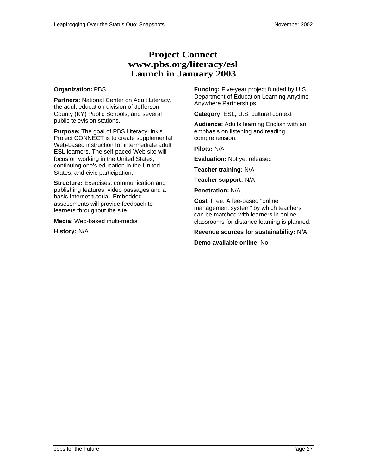### **Project Connect www.pbs.org/literacy/esl Launch in January 2003**

#### **Organization:** PBS

**Partners:** National Center on Adult Literacy, the adult education division of Jefferson County (KY) Public Schools, and several public television stations.

**Purpose:** The goal of PBS LiteracyLink's Project CONNECT is to create supplemental Web-based instruction for intermediate adult ESL learners. The self-paced Web site will focus on working in the United States, continuing one's education in the United States, and civic participation.

**Structure:** Exercises, communication and publishing features, video passages and a basic Internet tutorial. Embedded assessments will provide feedback to learners throughout the site.

**Media:** Web-based multi-media

**History:** N/A

**Funding:** Five-year project funded by U.S. Department of Education Learning Anytime Anywhere Partnerships.

**Category:** ESL, U.S. cultural context

**Audience:** Adults learning English with an emphasis on listening and reading comprehension.

**Pilots:** N/A

**Evaluation:** Not yet released

**Teacher training:** N/A

**Teacher support:** N/A

**Penetration:** N/A

**Cost**: Free. A fee-based "online management system" by which teachers can be matched with learners in online classrooms for distance learning is planned.

**Revenue sources for sustainability:** N/A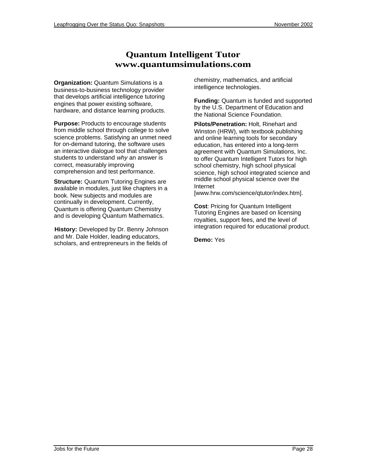### **Quantum Intelligent Tutor www.quantumsimulations.com**

**Organization:** Quantum Simulations is a business-to-business technology provider that develops artificial intelligence tutoring engines that power existing software, hardware, and distance learning products.

**Purpose:** Products to encourage students from middle school through college to solve science problems. Satisfying an unmet need for on-demand tutoring, the software uses an interactive dialogue tool that challenges students to understand why an answer is correct, measurably improving comprehension and test performance.

**Structure:** Quantum Tutoring Engines are available in modules, just like chapters in a book. New subjects and modules are continually in development. Currently, Quantum is offering Quantum Chemistry and is developing Quantum Mathematics.

**History:** Developed by Dr. Benny Johnson and Mr. Dale Holder, leading educators, scholars, and entrepreneurs in the fields of

chemistry, mathematics, and artificial intelligence technologies.

**Funding:** Quantum is funded and supported by the U.S. Department of Education and the National Science Foundation.

**Pilots/Penetration:** Holt, Rinehart and Winston (HRW), with textbook publishing and online learning tools for secondary education, has entered into a long-term agreement with Quantum Simulations, Inc. to offer Quantum Intelligent Tutors for high school chemistry, high school physical science, high school integrated science and middle school physical science over the Internet

[www.hrw.com/science/qtutor/index.htm].

**Cost**: Pricing for Quantum Intelligent Tutoring Engines are based on licensing royalties, support fees, and the level of integration required for educational product.

**Demo:** Yes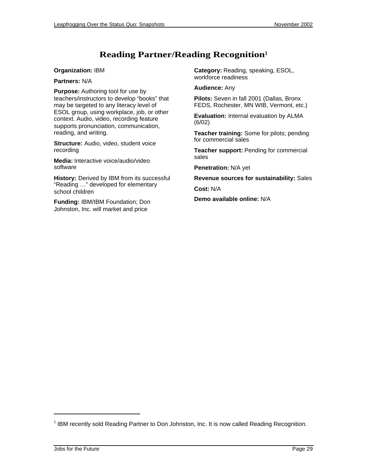### **Reading Partner/Reading Recognition<sup>1</sup>**

#### **Organization:** IBM

**Partners:** N/A

**Purpose:** Authoring tool for use by teachers/instructors to develop "books" that may be targeted to any literacy level of ESOL group, using workplace, job, or other context. Audio, video, recording feature supports pronunciation, communication, reading, and writing.

**Structure:** Audio, video, student voice recording

**Media:** Interactive voice/audio/video software

**History:** Derived by IBM from its successful "Reading …" developed for elementary school children

**Funding:** IBM/IBM Foundation; Don Johnston, Inc. will market and price

**Category:** Reading, speaking, ESOL, workforce readiness

**Audience:** Any

**Pilots:** Seven in fall 2001 (Dallas, Bronx FEDS, Rochester, MN WIB, Vermont, etc.)

**Evaluation:** Internal evaluation by ALMA (6/02)

**Teacher training:** Some for pilots; pending for commercial sales

**Teacher support:** Pending for commercial sales

**Penetration:** N/A yet

**Revenue sources for sustainability:** Sales

**Cost:** N/A

**Demo available online:** N/A

l

<sup>&</sup>lt;sup>1</sup> IBM recently sold Reading Partner to Don Johnston, Inc. It is now called Reading Recognition.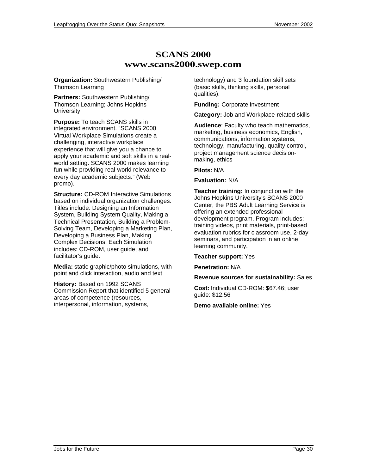### **SCANS 2000 www.scans2000.swep.com**

**Organization:** Southwestern Publishing/ Thomson Learning

**Partners:** Southwestern Publishing/ Thomson Learning; Johns Hopkins **University** 

**Purpose:** To teach SCANS skills in integrated environment. "SCANS 2000 Virtual Workplace Simulations create a challenging, interactive workplace experience that will give you a chance to apply your academic and soft skills in a realworld setting. SCANS 2000 makes learning fun while providing real-world relevance to every day academic subjects." (Web promo).

**Structure:** CD-ROM Interactive Simulations based on individual organization challenges. Titles include: Designing an Information System, Building System Quality, Making a Technical Presentation, Building a Problem-Solving Team, Developing a Marketing Plan, Developing a Business Plan, Making Complex Decisions. Each Simulation includes: CD-ROM, user guide, and facilitator's guide.

**Media:** static graphic/photo simulations, with point and click interaction, audio and text

**History:** Based on 1992 SCANS Commission Report that identified 5 general areas of competence (resources, interpersonal, information, systems,

technology) and 3 foundation skill sets (basic skills, thinking skills, personal qualities).

**Funding:** Corporate investment

**Category:** Job and Workplace-related skills

**Audience**: Faculty who teach mathematics, marketing, business economics, English, communications, information systems, technology, manufacturing, quality control, project management science decisionmaking, ethics

**Pilots:** N/A

#### **Evaluation:** N/A

**Teacher training:** In conjunction with the Johns Hopkins University's SCANS 2000 Center, the PBS Adult Learning Service is offering an extended professional development program. Program includes: training videos, print materials, print-based evaluation rubrics for classroom use, 2-day seminars, and participation in an online learning community.

#### **Teacher support:** Yes

**Penetration:** N/A

#### **Revenue sources for sustainability:** Sales

**Cost:** Individual CD-ROM: \$67.46; user guide: \$12.56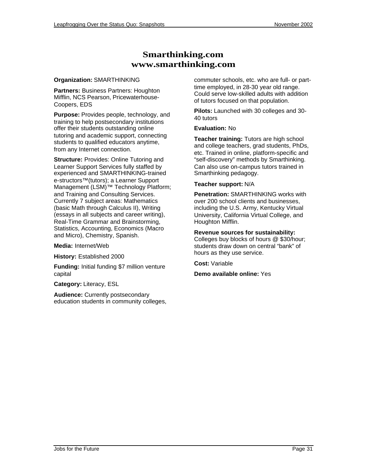### **Smarthinking.com www.smarthinking.com**

#### **Organization:** SMARTHINKING

**Partners:** Business Partners: Houghton Mifflin, NCS Pearson, Pricewaterhouse-Coopers, EDS

**Purpose:** Provides people, technology, and training to help postsecondary institutions offer their students outstanding online tutoring and academic support, connecting students to qualified educators anytime, from any Internet connection.

**Structure: Provides: Online Tutoring and** Learner Support Services fully staffed by experienced and SMARTHINKING-trained e-structors™(tutors); a Learner Support Management (LSM)™ Technology Platform; and Training and Consulting Services. Currently 7 subject areas: Mathematics (basic Math through Calculus II), Writing (essays in all subjects and career writing), Real-Time Grammar and Brainstorming, Statistics, Accounting, Economics (Macro and Micro), Chemistry, Spanish.

**Media:** Internet/Web

**History:** Established 2000

**Funding:** Initial funding \$7 million venture capital

**Category:** Literacy, ESL

**Audience:** Currently postsecondary education students in community colleges, commuter schools, etc. who are full- or parttime employed, in 28-30 year old range. Could serve low-skilled adults with addition of tutors focused on that population.

**Pilots:** Launched with 30 colleges and 30- 40 tutors

### **Evaluation:** No

**Teacher training:** Tutors are high school and college teachers, grad students, PhDs, etc. Trained in online, platform-specific and "self-discovery" methods by Smarthinking. Can also use on-campus tutors trained in Smarthinking pedagogy.

### **Teacher support:** N/A

**Penetration:** SMARTHINKING works with over 200 school clients and businesses, including the U.S. Army, Kentucky Virtual University, California Virtual College, and Houghton Mifflin.

### **Revenue sources for sustainability:**

Colleges buy blocks of hours [@](mailto:@) \$30/hour; students draw down on central "bank" of hours as they use service.

**Cost:** Variable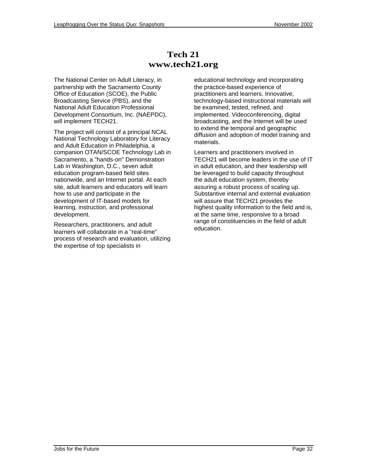### **Tech 21 www.tech21.org**

The National Center on Adult Literacy, in partnership with the Sacramento County Office of Education (SCOE), the Public Broadcasting Service (PBS), and the National Adult Education Professional Development Consortium, Inc. (NAEPDC), will implement TECH21.

The project will consist of a principal NCAL National Technology Laboratory for Literacy and Adult Education in Philadelphia, a companion OTAN/SCOE Technology Lab in Sacramento, a "hands-on" Demonstration Lab in Washington, D.C., seven adult education program-based field sites nationwide, and an Internet portal. At each site, adult learners and educators will learn how to use and participate in the development of IT-based models for learning, instruction, and professional development.

Researchers, practitioners, and adult learners will collaborate in a "real-time" process of research and evaluation, utilizing the expertise of top specialists in

educational technology and incorporating the practice-based experience of practitioners and learners. Innovative, technology-based instructional materials will be examined, tested, refined, and implemented. Videoconferencing, digital broadcasting, and the Internet will be used to extend the temporal and geographic diffusion and adoption of model training and materials.

Learners and practitioners involved in TECH21 will become leaders in the use of IT in adult education, and their leadership will be leveraged to build capacity throughout the adult education system, thereby assuring a robust process of scaling up. Substantive internal and external evaluation will assure that TECH21 provides the highest quality information to the field and is, at the same time, responsive to a broad range of constituencies in the field of adult education.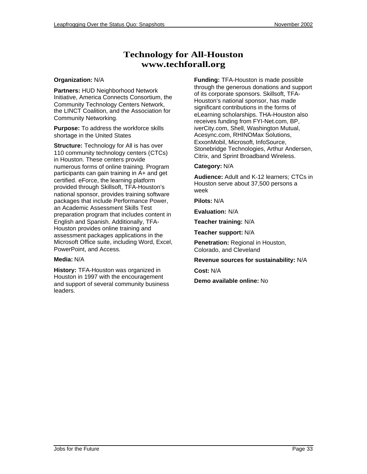### **Technology for All-Houston www.techforall.org**

#### **Organization:** N/A

**Partners:** HUD Neighborhood Network Initiative, America Connects Consortium, the Community Technology Centers Network, the LINCT Coalition, and the Association for Community Networking.

**Purpose:** To address the workforce skills shortage in the United States

**Structure:** Technology for All is has over 110 community technology centers (CTCs) in Houston. These centers provide numerous forms of online training. Program participants can gain training in A+ and get certified. eForce, the learning platform provided through Skillsoft, TFA-Houston's national sponsor, provides training software packages that include Performance Power, an Academic Assessment Skills Test preparation program that includes content in English and Spanish. Additionally, TFA-Houston provides online training and assessment packages applications in the Microsoft Office suite, including Word, Excel, PowerPoint, and Access.

### **Media:** N/A

**History:** TFA-Houston was organized in Houston in 1997 with the encouragement and support of several community business leaders.

**Funding:** TFA-Houston is made possible through the generous donations and support of its corporate sponsors. Skillsoft, TFA-Houston's national sponsor, has made significant contributions in the forms of eLearning scholarships. THA-Houston also receives funding from FYI-Net.com, BP, iverCity.com, Shell, Washington Mutual, Acesync.com, RHINOMax Solutions, ExxonMobil, Microsoft, InfoSource, Stonebridge Technologies, Arthur Andersen, Citrix, and Sprint Broadband Wireless.

### **Category:** N/A

**Audience:** Adult and K-12 learners; CTCs in Houston serve about 37,500 persons a week

**Pilots:** N/A

**Evaluation:** N/A

**Teacher training:** N/A

**Teacher support:** N/A

**Penetration:** Regional in Houston, Colorado, and Cleveland

**Revenue sources for sustainability:** N/A

**Cost:** N/A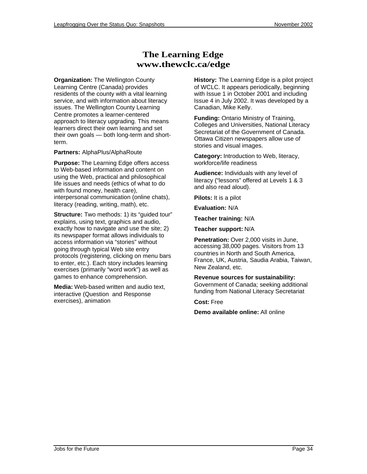### **The Learning Edge www.thewclc.ca/edge**

**Organization:** The Wellington County Learning Centre (Canada) provides residents of the county with a vital learning service, and with information about literacy issues. The Wellington County Learning Centre promotes a learner-centered approach to literacy upgrading. This means learners direct their own learning and set their own goals — both long-term and shortterm.

#### **Partners:** AlphaPlus/AlphaRoute

**Purpose:** The Learning Edge offers access to Web-based information and content on using the Web, practical and philosophical life issues and needs (ethics of what to do with found money, health care), interpersonal communication (online chats), literacy (reading, writing, math), etc.

**Structure:** Two methods: 1) its "guided tour" explains, using text, graphics and audio, exactly how to navigate and use the site; 2) its newspaper format allows individuals to access information via "stories" without going through typical Web site entry protocols (registering, clicking on menu bars to enter, etc.). Each story includes learning exercises (primarily "word work") as well as games to enhance comprehension.

**Media:** Web-based written and audio text, interactive (Question and Response exercises), animation

**History:** The Learning Edge is a pilot project of WCLC. It appears periodically, beginning with Issue 1 in October 2001 and including Issue 4 in July 2002. It was developed by a Canadian, Mike Kelly.

**Funding:** Ontario Ministry of Training, Colleges and Universities, National Literacy Secretariat of the Government of Canada. Ottawa Citizen newspapers allow use of stories and visual images.

**Category:** Introduction to Web, literacy, workforce/life readiness

**Audience:** Individuals with any level of literacy ("lessons" offered at Levels 1 & 3 and also read aloud).

**Pilots:** It is a pilot

**Evaluation:** N/A

**Teacher training:** N/A

**Teacher support:** N/A

**Penetration:** Over 2,000 visits in June, accessing 38,000 pages. Visitors from 13 countries in North and South America, France, UK, Austria, Saudia Arabia, Taiwan, New Zealand, etc.

**Revenue sources for sustainability:** Government of Canada; seeking additional funding from National Literacy Secretariat

**Cost:** Free

**Demo available online:** All online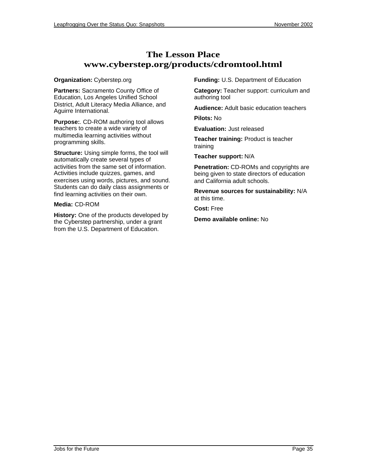### **The Lesson Place www.cyberstep.org/products/cdromtool.html**

#### **Organization:** Cyberstep.org

**Partners:** Sacramento County Office of Education, Los Angeles Unified School District, Adult Literacy Media Alliance, and Aguirre International.

**Purpose:**. CD-ROM authoring tool allows teachers to create a wide variety of multimedia learning activities without programming skills.

**Structure:** Using simple forms, the tool will automatically create several types of activities from the same set of information. Activities include quizzes, games, and exercises using words, pictures, and sound. Students can do daily class assignments or find learning activities on their own.

### **Media:** CD-ROM

**History:** One of the products developed by the Cyberstep partnership, under a grant from the U.S. Department of Education.

**Funding:** U.S. Department of Education

**Category:** Teacher support: curriculum and authoring tool

**Audience:** Adult basic education teachers

**Pilots:** No

**Evaluation:** Just released

**Teacher training:** Product is teacher training

**Teacher support:** N/A

**Penetration:** CD-ROMs and copyrights are being given to state directors of education and California adult schools.

**Revenue sources for sustainability:** N/A at this time.

**Cost:** Free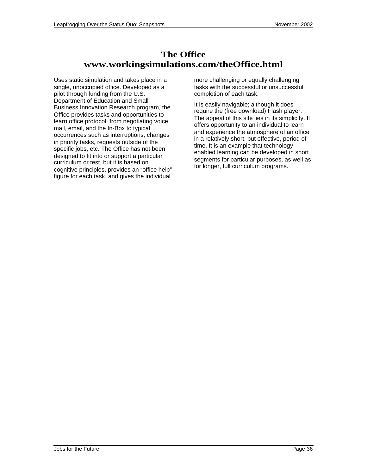### **The Office www.workingsimulations.com/theOffice.html**

Uses static simulation and takes place in a single, unoccupied office. Developed as a pilot through funding from the U.S. Department of Education and Small Business Innovation Research program, the Office provides tasks and opportunities to learn office protocol, from negotiating voice mail, email, and the In-Box to typical occurrences such as interruptions, changes in priority tasks, requests outside of the specific jobs, etc. The Office has not been designed to fit into or support a particular curriculum or test, but it is based on cognitive principles, provides an "office help" figure for each task, and gives the individual more challenging or equally challenging tasks with the successful or unsuccessful completion of each task.

It is easily navigable; although it does require the (free download) Flash player. The appeal of this site lies in its simplicity. It offers opportunity to an individual to learn and experience the atmosphere of an office in a relatively short, but effective, period of time. It is an example that technologyenabled learning can be developed in short segments for particular purposes, as well as for longer, full curriculum programs.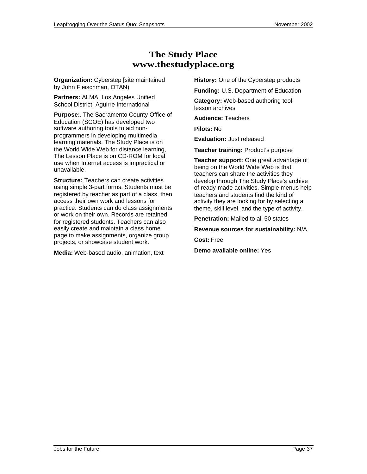### **The Study Place www.thestudyplace.org**

**Organization:** Cyberstep [site maintained by John Fleischman, OTAN)

**Partners:** ALMA, Los Angeles Unified School District, Aguirre International

**Purpose:**. The Sacramento County Office of Education (SCOE) has developed two software authoring tools to aid nonprogrammers in developing multimedia learning materials. The Study Place is on the World Wide Web for distance learning, The Lesson Place is on CD-ROM for local use when Internet access is impractical or unavailable.

**Structure:** Teachers can create activities using simple 3-part forms. Students must be registered by teacher as part of a class, then access their own work and lessons for practice. Students can do class assignments or work on their own. Records are retained for registered students. Teachers can also easily create and maintain a class home page to make assignments, organize group projects, or showcase student work.

**Media:** Web-based audio, animation, text

**History:** One of the Cyberstep products

**Funding:** U.S. Department of Education **Category:** Web-based authoring tool; lesson archives

**Audience:** Teachers

**Pilots:** No

**Evaluation:** Just released

**Teacher training:** Product's purpose

**Teacher support:** One great advantage of being on the World Wide Web is that teachers can share the activities they develop through The Study Place's archive of ready-made activities. Simple menus help teachers and students find the kind of activity they are looking for by selecting a theme, skill level, and the type of activity.

**Penetration:** Mailed to all 50 states

**Revenue sources for sustainability:** N/A

**Cost:** Free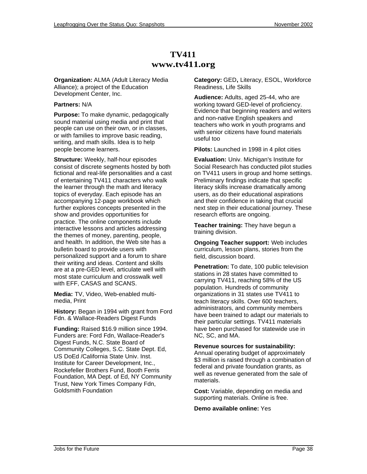### **TV411 www.tv411.org**

**Organization:** ALMA (Adult Literacy Media Alliance); a project of the Education Development Center, Inc.

### **Partners:** N/A

**Purpose:** To make dynamic, pedagogically sound material using media and print that people can use on their own, or in classes, or with families to improve basic reading, writing, and math skills. Idea is to help people become learners.

**Structure:** Weekly, half-hour episodes consist of discrete segments hosted by both fictional and real-life personalities and a cast of entertaining TV411 characters who walk the learner through the math and literacy topics of everyday. Each episode has an accompanying 12-page workbook which further explores concepts presented in the show and provides opportunities for practice. The online components include interactive lessons and articles addressing the themes of money, parenting, people, and health. In addition, the Web site has a bulletin board to provide users with personalized support and a forum to share their writing and ideas. Content and skills are at a pre-GED level, articulate well with most state curriculum and crosswalk well with EFF, CASAS and SCANS.

**Media:** TV, Video, Web-enabled multimedia, Print

**History:** Began in 1994 with grant from Ford Fdn. & Wallace-Readers Digest Funds

**Funding:** Raised \$16.9 million since 1994. Funders are: Ford Fdn, Wallace-Reader's Digest Funds, N.C. State Board of Community Colleges, S.C. State Dept. Ed, US DoEd /California State Univ. Inst. Institute for Career Development, Inc., Rockefeller Brothers Fund, Booth Ferris Foundation, MA Dept. of Ed, NY Community Trust, New York Times Company Fdn, Goldsmith Foundation

**Category:** GED**,** Literacy, ESOL, Workforce Readiness, Life Skills

**Audience:** Adults, aged 25-44, who are working toward GED-level of proficiency. Evidence that beginning readers and writers and non-native English speakers and teachers who work in youth programs and with senior citizens have found materials useful too

**Pilots:** Launched in 1998 in 4 pilot cities

**Evaluation:** Univ. Michigan's Institute for Social Research has conducted pilot studies on TV411 users in group and home settings. Preliminary findings indicate that specific literacy skills increase dramatically among users, as do their educational aspirations and their confidence in taking that crucial next step in their educational journey. These research efforts are ongoing.

**Teacher training:** They have begun a training division.

**Ongoing Teacher support:** Web includes curriculum, lesson plans, stories from the field, discussion board.

**Penetration:** To date, 100 public television stations in 28 states have committed to carrying TV411, reaching 58% of the US population. Hundreds of community organizations in 31 states use TV411 to teach literacy skills. Over 600 teachers, administrators, and community members have been trained to adapt our materials to their particular settings. TV411 materials have been purchased for statewide use in NC, SC, and MA.

**Revenue sources for sustainability:** Annual operating budget of approximately \$3 million is raised through a combination of federal and private foundation grants, as well as revenue generated from the sale of materials.

**Cost:** Variable, depending on media and supporting materials. Online is free.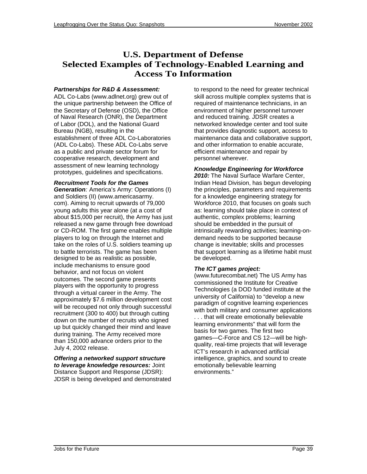### **U.S. Department of Defense Selected Examples of Technology-Enabled Learning and Access To Information**

#### **Partnerships for R&D & Assessment:**

ADL Co-Labs (www.adlnet.org) grew out of the unique partnership between the Office of the Secretary of Defense (OSD), the Office of Naval Research (ONR), the Department of Labor (DOL), and the National Guard Bureau (NGB), resulting in the establishment of three ADL Co-Laboratories (ADL Co-Labs). These ADL Co-Labs serve as a public and private sector forum for cooperative research, development and assessment of new learning technology prototypes, guidelines and specifications.

#### **Recruitment Tools for the Games**

**Generation**: America's Army: Operations (I) and Soldiers (II) (www.americasarmy. com). Aiming to recruit upwards of 79,000 young adults this year alone (at a cost of about \$15,000 per recruit), the Army has just released a new game through free download or CD-ROM. The first game enables multiple players to log on through the Internet and take on the roles of U.S. soldiers teaming up to battle terrorists. The game has been designed to be as realistic as possible, include mechanisms to ensure good behavior, and not focus on violent outcomes. The second game presents players with the opportunity to progress through a virtual career in the Army. The approximately \$7.6 million development cost will be recouped not only through successful recruitment (300 to 400) but through cutting down on the number of recruits who signed up but quickly changed their mind and leave during training. The Army received more than 150,000 advance orders prior to the July 4, 2002 release.

#### **Offering a networked support structure to leverage knowledge resources:** Joint Distance Support and Response (JDSR): JDSR is being developed and demonstrated

to respond to the need for greater technical skill across multiple complex systems that is required of maintenance technicians, in an environment of higher personnel turnover and reduced training. JDSR creates a networked knowledge center and tool suite that provides diagnostic support, access to maintenance data and collaborative support, and other information to enable accurate, efficient maintenance and repair by personnel wherever.

### **Knowledge Engineering for Workforce**

**2010:** The Naval Surface Warfare Center, Indian Head Division, has begun developing the principles, parameters and requirements for a knowledge engineering strategy for Workforce 2010, that focuses on goals such as: learning should take place in context of authentic, complex problems; learning should be embedded in the pursuit of intrinsically rewarding activities; learning-ondemand needs to be supported because change is inevitable; skills and processes that support learning as a lifetime habit must be developed.

#### **The ICT games project:**

(www.futurecombat.net) The US Army has commissioned the Institute for Creative Technologies (a DOD funded institute at the university of California) to "develop a new paradigm of cognitive learning experiences with both military and consumer applications . . . that will create emotionally believable learning environments" that will form the basis for two games. The first two games—C-Force and CS 12—will be highquality, real-time projects that will leverage ICT's research in advanced artificial intelligence, graphics, and sound to create emotionally believable learning environments."